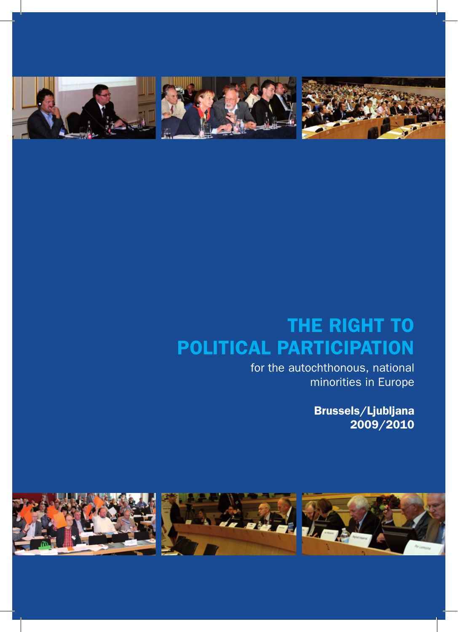

# THE RIGHT TO POLITICAL PARTICIPATION

for the autochthonous, national minorities in Europe

> Brussels/Ljubljana 2009/2010

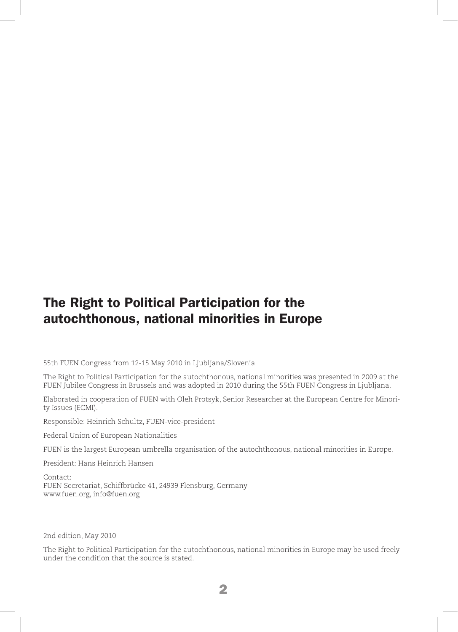### The Right to Political Participation for the autochthonous, national minorities in Europe

55th FUEN Congress from 12-15 May 2010 in Ljubljana/Slovenia

The Right to Political Participation for the autochthonous, national minorities was presented in 2009 at the FUEN Jubilee Congress in Brussels and was adopted in 2010 during the 55th FUEN Congress in Ljubljana.

Elaborated in cooperation of FUEN with Oleh Protsyk, Senior Researcher at the European Centre for Minority Issues (ECMI).

Responsible: Heinrich Schultz, FUEN-vice-president

Federal Union of European Nationalities

FUEN is the largest European umbrella organisation of the autochthonous, national minorities in Europe.

President: Hans Heinrich Hansen

Contact: FUEN Secretariat, Schiffbrücke 41, 24939 Flensburg, Germany www.fuen.org, info@fuen.org

2nd edition, May 2010

The Right to Political Participation for the autochthonous, national minorities in Europe may be used freely under the condition that the source is stated.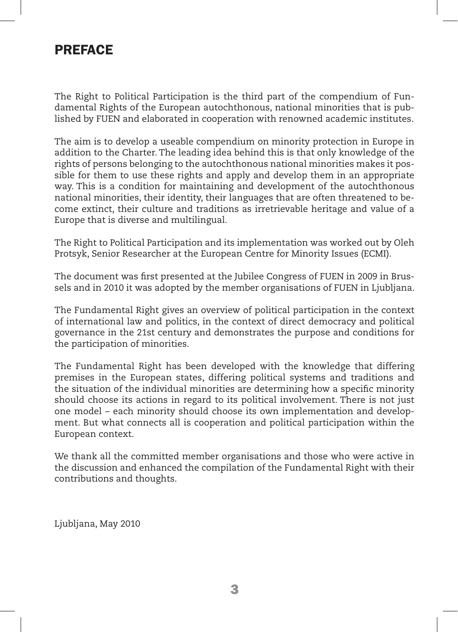### **PREFACE**

The Right to Political Participation is the third part of the compendium of Fundamental Rights of the European autochthonous, national minorities that is published by FUEN and elaborated in cooperation with renowned academic institutes.

The aim is to develop a useable compendium on minority protection in Europe in addition to the Charter. The leading idea behind this is that only knowledge of the rights of persons belonging to the autochthonous national minorities makes it possible for them to use these rights and apply and develop them in an appropriate way. This is a condition for maintaining and development of the autochthonous national minorities, their identity, their languages that are often threatened to become extinct, their culture and traditions as irretrievable heritage and value of a Europe that is diverse and multilingual.

The Right to Political Participation and its implementation was worked out by Oleh Protsyk, Senior Researcher at the European Centre for Minority Issues (ECMI).

The document was first presented at the Jubilee Congress of FUEN in 2009 in Brussels and in 2010 it was adopted by the member organisations of FUEN in Ljubljana.

The Fundamental Right gives an overview of political participation in the context of international law and politics, in the context of direct democracy and political governance in the 21st century and demonstrates the purpose and conditions for the participation of minorities.

The Fundamental Right has been developed with the knowledge that differing premises in the European states, differing political systems and traditions and the situation of the individual minorities are determining how a specific minority should choose its actions in regard to its political involvement. There is not just one model – each minority should choose its own implementation and development. But what connects all is cooperation and political participation within the European context.

We thank all the committed member organisations and those who were active in the discussion and enhanced the compilation of the Fundamental Right with their contributions and thoughts.

Ljubljana, May 2010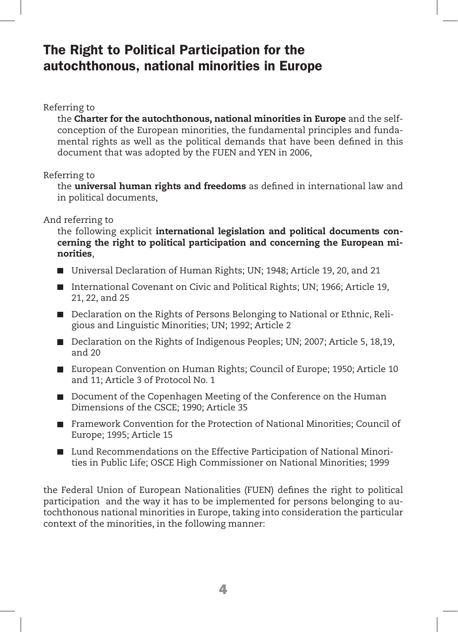## The Right to Political Participation for the autochthonous, national minorities in Europe

Referring to

the Charter for the autochthonous, national minorities in Europe and the selfconception of the European minorities, the fundamental principles and fundamental rights as well as the political demands that have been defined in this document that was adopted by the FUEN and YEN in 2006,

#### Referring to

the **universal human rights and freedoms** as defined in international law and in political documents,

And referring to

the following explicit international legislation and political documents concerning the right to political participation and concerning the European minorities,

- Universal Declaration of Human Rights; UN; 1948; Article 19, 20, and 21
- International Covenant on Civic and Political Rights; UN; 1966; Article 19, 21, 22, and 25
- Declaration on the Rights of Persons Belonging to National or Ethnic, Religious and Linguistic Minorities; UN; 1992; Article 2
- Declaration on the Rights of Indigenous Peoples; UN; 2007; Article 5, 18,19, and 20
- European Convention on Human Rights; Council of Europe; 1950; Article 10 and 11; Article 3 of Protocol No. 1
- Document of the Copenhagen Meeting of the Conference on the Human Dimensions of the CSCE; 1990; Article 35
- Framework Convention for the Protection of National Minorities; Council of Europe; 1995; Article 15
- Lund Recommendations on the Effective Participation of National Minorities in Public Life; OSCE High Commissioner on National Minorities; 1999

the Federal Union of European Nationalities (FUEN) defines the right to political participation and the way it has to be implemented for persons belonging to autochthonous national minorities in Europe, taking into consideration the particular context of the minorities, in the following manner: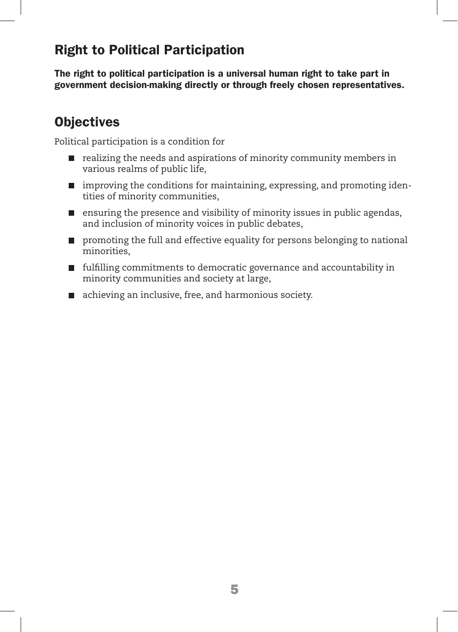# Right to Political Participation

The right to political participation is a universal human right to take part in government decision-making directly or through freely chosen representatives.

# **Objectives**

Political participation is a condition for

- realizing the needs and aspirations of minority community members in various realms of public life,
- $\blacksquare$  improving the conditions for maintaining, expressing, and promoting identities of minority communities,
- $\blacksquare$  ensuring the presence and visibility of minority issues in public agendas, and inclusion of minority voices in public debates,
- **Peromoting the full and effective equality for persons belonging to national** minorities,
- **fulfilling commitments to democratic governance and accountability in** minority communities and society at large,
- achieving an inclusive, free, and harmonious society.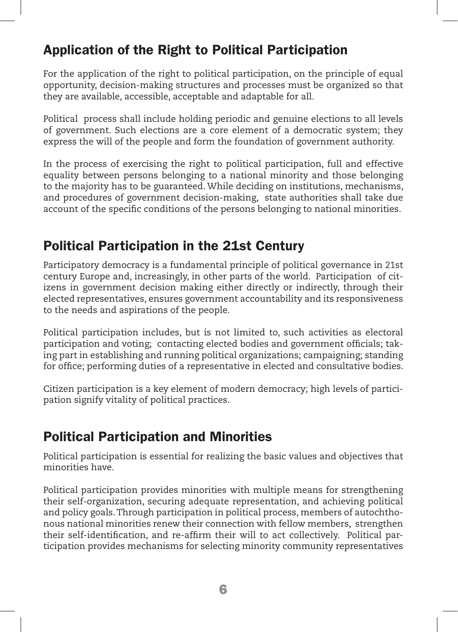# Application of the Right to Political Participation

For the application of the right to political participation, on the principle of equal opportunity, decision-making structures and processes must be organized so that they are available, accessible, acceptable and adaptable for all.

Political process shall include holding periodic and genuine elections to all levels of government. Such elections are a core element of a democratic system; they express the will of the people and form the foundation of government authority.

In the process of exercising the right to political participation, full and effective equality between persons belonging to a national minority and those belonging to the majority has to be guaranteed. While deciding on institutions, mechanisms, and procedures of government decision-making, state authorities shall take due account of the specific conditions of the persons belonging to national minorities.

# Political Participation in the 21st Century

Participatory democracy is a fundamental principle of political governance in 21st century Europe and, increasingly, in other parts of the world. Participation of citizens in government decision making either directly or indirectly, through their elected representatives, ensures government accountability and its responsiveness to the needs and aspirations of the people.

Political participation includes, but is not limited to, such activities as electoral participation and voting; contacting elected bodies and government officials; taking part in establishing and running political organizations; campaigning; standing for office; performing duties of a representative in elected and consultative bodies.

Citizen participation is a key element of modern democracy; high levels of participation signify vitality of political practices.

# Political Participation and Minorities

Political participation is essential for realizing the basic values and objectives that minorities have.

Political participation provides minorities with multiple means for strengthening their self-organization, securing adequate representation, and achieving political and policy goals. Through participation in political process, members of autochthonous national minorities renew their connection with fellow members, strengthen their self-identification, and re-affirm their will to act collectively. Political participation provides mechanisms for selecting minority community representatives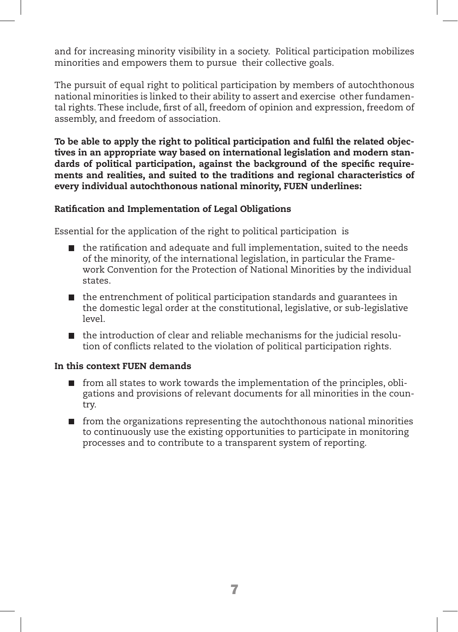and for increasing minority visibility in a society. Political participation mobilizes minorities and empowers them to pursue their collective goals.

The pursuit of equal right to political participation by members of autochthonous national minorities is linked to their ability to assert and exercise other fundamental rights. These include, first of all, freedom of opinion and expression, freedom of assembly, and freedom of association.

To be able to apply the right to political participation and fulfil the related objectives in an appropriate way based on international legislation and modern standards of political participation, against the background of the specific requirements and realities, and suited to the traditions and regional characteristics of every individual autochthonous national minority, FUEN underlines:

#### Ratification and Implementation of Legal Obligations

Essential for the application of the right to political participation is

- $\blacksquare$  the ratification and adequate and full implementation, suited to the needs of the minority, of the international legislation, in particular the Framework Convention for the Protection of National Minorities by the individual states.
- $\blacksquare$  the entrenchment of political participation standards and guarantees in the domestic legal order at the constitutional, legislative, or sub-legislative level.
- $\blacksquare$  the introduction of clear and reliable mechanisms for the judicial resolution of conflicts related to the violation of political participation rights.

#### In this context FUEN demands

- $\blacksquare$  from all states to work towards the implementation of the principles, obligations and provisions of relevant documents for all minorities in the country.
- $\blacksquare$  from the organizations representing the autochthonous national minorities to continuously use the existing opportunities to participate in monitoring processes and to contribute to a transparent system of reporting.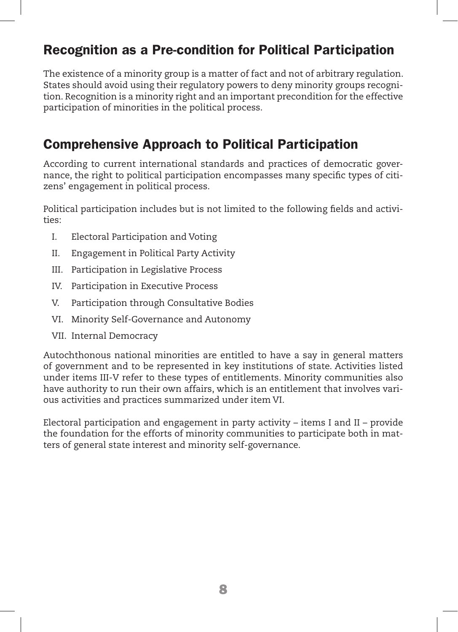# Recognition as a Pre-condition for Political Participation

The existence of a minority group is a matter of fact and not of arbitrary regulation. States should avoid using their regulatory powers to deny minority groups recognition. Recognition is a minority right and an important precondition for the effective participation of minorities in the political process.

# Comprehensive Approach to Political Participation

According to current international standards and practices of democratic governance, the right to political participation encompasses many specific types of citizens' engagement in political process.

Political participation includes but is not limited to the following fields and activities:

- I. Electoral Participation and Voting
- II. Engagement in Political Party Activity
- III. Participation in Legislative Process
- IV. Participation in Executive Process
- V. Participation through Consultative Bodies
- VI. Minority Self-Governance and Autonomy
- VII. Internal Democracy

Autochthonous national minorities are entitled to have a say in general matters of government and to be represented in key institutions of state. Activities listed under items III-V refer to these types of entitlements. Minority communities also have authority to run their own affairs, which is an entitlement that involves various activities and practices summarized under item VI.

Electoral participation and engagement in party activity – items I and II – provide the foundation for the efforts of minority communities to participate both in matters of general state interest and minority self-governance.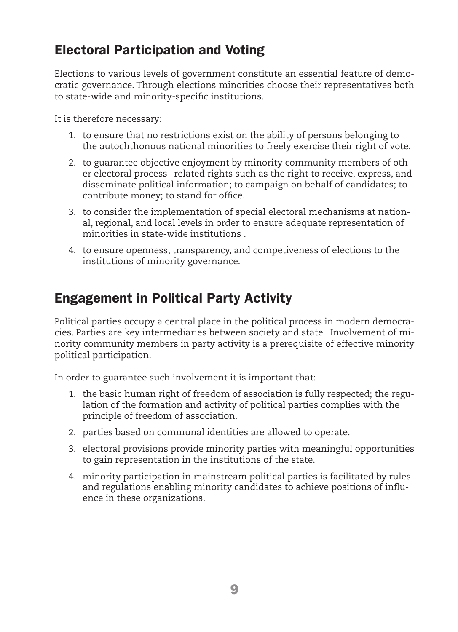# Electoral Participation and Voting

Elections to various levels of government constitute an essential feature of democratic governance. Through elections minorities choose their representatives both to state-wide and minority-specific institutions.

It is therefore necessary:

- 1. to ensure that no restrictions exist on the ability of persons belonging to the autochthonous national minorities to freely exercise their right of vote.
- 2. to guarantee objective enjoyment by minority community members of other electoral process –related rights such as the right to receive, express, and disseminate political information; to campaign on behalf of candidates; to contribute money; to stand for office.
- 3. to consider the implementation of special electoral mechanisms at national, regional, and local levels in order to ensure adequate representation of minorities in state-wide institutions .
- 4. to ensure openness, transparency, and competiveness of elections to the institutions of minority governance.

# Engagement in Political Party Activity

Political parties occupy a central place in the political process in modern democracies. Parties are key intermediaries between society and state. Involvement of minority community members in party activity is a prerequisite of effective minority political participation.

In order to guarantee such involvement it is important that:

- 1. the basic human right of freedom of association is fully respected; the regulation of the formation and activity of political parties complies with the principle of freedom of association.
- 2. parties based on communal identities are allowed to operate.
- 3. electoral provisions provide minority parties with meaningful opportunities to gain representation in the institutions of the state.
- 4. minority participation in mainstream political parties is facilitated by rules and regulations enabling minority candidates to achieve positions of influence in these organizations.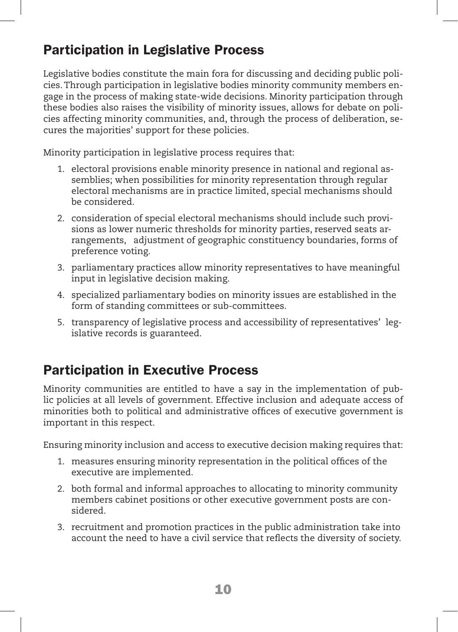# Participation in Legislative Process

Legislative bodies constitute the main fora for discussing and deciding public policies. Through participation in legislative bodies minority community members engage in the process of making state-wide decisions. Minority participation through these bodies also raises the visibility of minority issues, allows for debate on policies affecting minority communities, and, through the process of deliberation, secures the majorities' support for these policies.

Minority participation in legislative process requires that:

- 1. electoral provisions enable minority presence in national and regional assemblies; when possibilities for minority representation through regular electoral mechanisms are in practice limited, special mechanisms should be considered.
- 2. consideration of special electoral mechanisms should include such provisions as lower numeric thresholds for minority parties, reserved seats arrangements, adjustment of geographic constituency boundaries, forms of preference voting.
- 3. parliamentary practices allow minority representatives to have meaningful input in legislative decision making.
- 4. specialized parliamentary bodies on minority issues are established in the form of standing committees or sub-committees.
- 5. transparency of legislative process and accessibility of representatives' legislative records is guaranteed.

# Participation in Executive Process

Minority communities are entitled to have a say in the implementation of public policies at all levels of government. Effective inclusion and adequate access of minorities both to political and administrative offices of executive government is important in this respect.

Ensuring minority inclusion and access to executive decision making requires that:

- 1. measures ensuring minority representation in the political offices of the executive are implemented.
- 2. both formal and informal approaches to allocating to minority community members cabinet positions or other executive government posts are considered.
- 3. recruitment and promotion practices in the public administration take into account the need to have a civil service that reflects the diversity of society.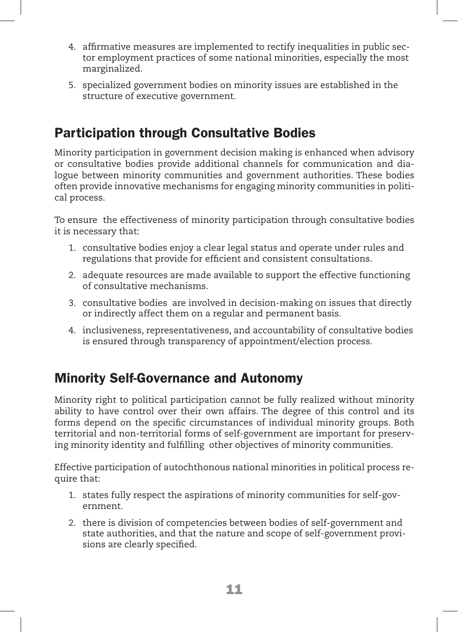- 4. affirmative measures are implemented to rectify inequalities in public sector employment practices of some national minorities, especially the most marginalized.
- 5. specialized government bodies on minority issues are established in the structure of executive government.

# Participation through Consultative Bodies

Minority participation in government decision making is enhanced when advisory or consultative bodies provide additional channels for communication and dialogue between minority communities and government authorities. These bodies often provide innovative mechanisms for engaging minority communities in political process.

To ensure the effectiveness of minority participation through consultative bodies it is necessary that:

- 1. consultative bodies enjoy a clear legal status and operate under rules and regulations that provide for efficient and consistent consultations.
- 2. adequate resources are made available to support the effective functioning of consultative mechanisms.
- 3. consultative bodies are involved in decision-making on issues that directly or indirectly affect them on a regular and permanent basis.
- 4. inclusiveness, representativeness, and accountability of consultative bodies is ensured through transparency of appointment/election process.

# Minority Self-Governance and Autonomy

Minority right to political participation cannot be fully realized without minority ability to have control over their own affairs. The degree of this control and its forms depend on the specific circumstances of individual minority groups. Both territorial and non-territorial forms of self-government are important for preserving minority identity and fulfilling other objectives of minority communities.

Effective participation of autochthonous national minorities in political process require that:

- 1. states fully respect the aspirations of minority communities for self-government.
- 2. there is division of competencies between bodies of self-government and state authorities, and that the nature and scope of self-government provisions are clearly specified.